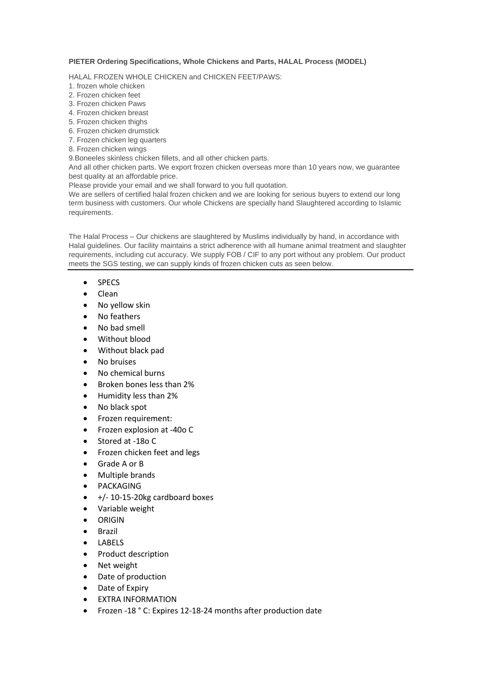## **PIETER Ordering Specifications, Whole Chickens and Parts, HALAL Process (MODEL)**

HALAL FROZEN WHOLE CHICKEN and CHICKEN FEET/PAWS:

- 1. frozen whole chicken
- 2. Frozen chicken feet
- 3. Frozen chicken Paws
- 4. Frozen chicken breast
- 5. Frozen chicken thighs
- 6. Frozen chicken drumstick
- 7. Frozen chicken leg quarters
- 8. Frozen chicken wings

9.Boneeles skinless chicken fillets, and all other chicken parts.

And all other chicken parts. We export frozen chicken overseas more than 10 years now, we guarantee best quality at an affordable price.

Please provide your email and we shall forward to you full quotation.

We are sellers of certified halal frozen chicken and we are looking for serious buyers to extend our long term business with customers. Our whole Chickens are specially hand Slaughtered according to Islamic requirements.

The Halal Process – Our chickens are slaughtered by Muslims individually by hand, in accordance with Halal guidelines. Our facility maintains a strict adherence with all humane animal treatment and slaughter requirements, including cut accuracy. We supply FOB / CIF to any port without any problem. Our product meets the SGS testing, we can supply kinds of frozen chicken cuts as seen below.

- SPECS
- Clean
- No yellow skin
- No feathers
- No bad smell
- Without blood
- Without black pad
- No bruises
- No chemical burns
- Broken bones less than 2%
- Humidity less than 2%
- No black spot
- Frozen requirement:
- Frozen explosion at -40o C
- Stored at -18o C
- Frozen chicken feet and legs
- Grade A or B
- Multiple brands
- PACKAGING
- $\bullet$  +/-10-15-20kg cardboard boxes
- Variable weight
- ORIGIN
- Brazil
- LABELS
- Product description
- Net weight
- Date of production
- Date of Expiry
- EXTRA INFORMATION
- Frozen -18 ° C: Expires 12-18-24 months after production date